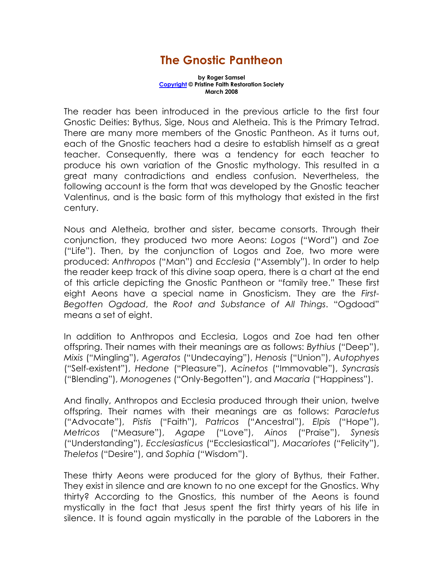## The Gnostic Pantheon

by Roger Samsel Copyright © Pristine Faith Restoration Society March 2008

The reader has been introduced in the previous article to the first four Gnostic Deities: Bythus, Sige, Nous and Aletheia. This is the Primary Tetrad. There are many more members of the Gnostic Pantheon. As it turns out, each of the Gnostic teachers had a desire to establish himself as a great teacher. Consequently, there was a tendency for each teacher to produce his own variation of the Gnostic mythology. This resulted in a great many contradictions and endless confusion. Nevertheless, the following account is the form that was developed by the Gnostic teacher Valentinus, and is the basic form of this mythology that existed in the first century.

Nous and Aletheia, brother and sister, became consorts. Through their conjunction, they produced two more Aeons: Logos ("Word") and Zoe ("Life"). Then, by the conjunction of Logos and Zoe, two more were produced: Anthropos ("Man") and Ecclesia ("Assembly"). In order to help the reader keep track of this divine soap opera, there is a chart at the end of this article depicting the Gnostic Pantheon or "family tree." These first eight Aeons have a special name in Gnosticism. They are the First-Begotten Ogdoad, the Root and Substance of All Things. "Ogdoad" means a set of eight.

In addition to Anthropos and Ecclesia, Logos and Zoe had ten other offspring. Their names with their meanings are as follows: Bythius ("Deep"), Mixis ("Mingling"), Ageratos ("Undecaying"), Henosis ("Union"), Autophyes ("Self-existent"), Hedone ("Pleasure"), Acinetos ("Immovable"), Syncrasis ("Blending"), Monogenes ("Only-Begotten"), and Macaria ("Happiness").

And finally, Anthropos and Ecclesia produced through their union, twelve offspring. Their names with their meanings are as follows: Paracletus ("Advocate"), Pistis ("Faith"), Patricos ("Ancestral"), Elpis ("Hope"), Metricos ("Measure"), Agape ("Love"), Ainos ("Praise"), Synesis ("Understanding"), Ecclesiasticus ("Ecclesiastical"), Macariotes ("Felicity"), Theletos ("Desire"), and Sophia ("Wisdom").

These thirty Aeons were produced for the glory of Bythus, their Father. They exist in silence and are known to no one except for the Gnostics. Why thirty? According to the Gnostics, this number of the Aeons is found mystically in the fact that Jesus spent the first thirty years of his life in silence. It is found again mystically in the parable of the Laborers in the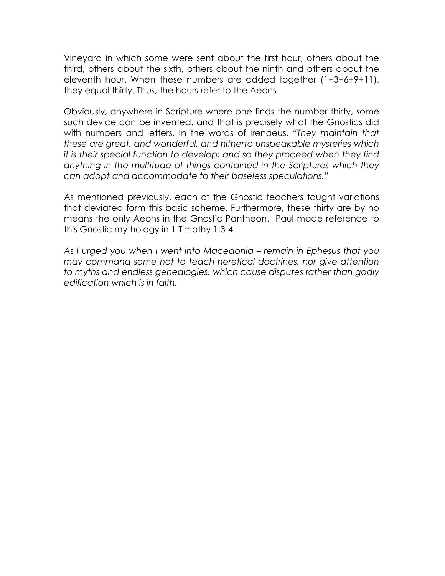Vineyard in which some were sent about the first hour, others about the third, others about the sixth, others about the ninth and others about the eleventh hour. When these numbers are added together (1+3+6+9+11), they equal thirty. Thus, the hours refer to the Aeons

Obviously, anywhere in Scripture where one finds the number thirty, some such device can be invented. and that is precisely what the Gnostics did with numbers and letters. In the words of Irenaeus, "They maintain that these are great, and wonderful, and hitherto unspeakable mysteries which it is their special function to develop; and so they proceed when they find anything in the multitude of things contained in the Scriptures which they can adopt and accommodate to their baseless speculations."

As mentioned previously, each of the Gnostic teachers taught variations that deviated form this basic scheme. Furthermore, these thirty are by no means the only Aeons in the Gnostic Pantheon. Paul made reference to this Gnostic mythology in 1 Timothy 1:3-4.

As I urged you when I went into Macedonia – remain in Ephesus that you may command some not to teach heretical doctrines, nor give attention to myths and endless genealogies, which cause disputes rather than godly edification which is in faith.